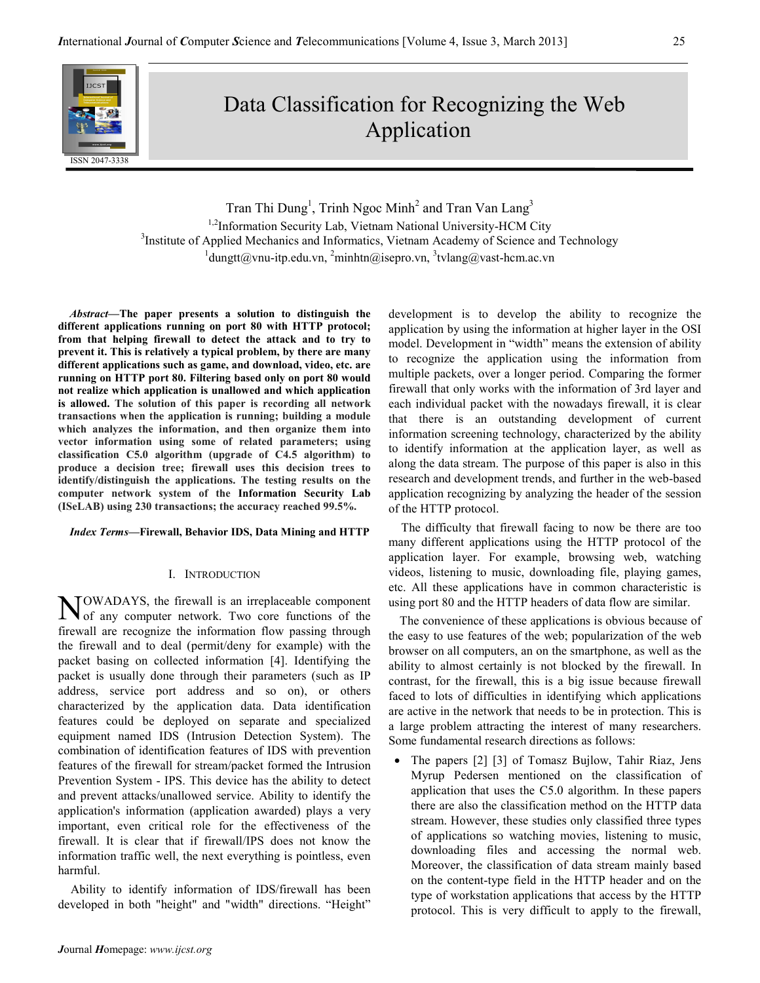

# Data Classification for Recognizing the Web Application

Tran Thi Dung<sup>1</sup>, Trinh Ngoc Minh<sup>2</sup> and Tran Van Lang<sup>3</sup> <sup>1,2</sup>Information Security Lab, Vietnam National University-HCM City <sup>3</sup>Institute of Applied Mechanics and Informatics, Vietnam Academy of Science and Technology  $1$ dungtt@vnu-itp.edu.vn,  $2$ minhtn@isepro.vn,  $3$ tvlang@vast-hcm.ac.vn

Abstract—The paper presents a solution to distinguish the different applications running on port 80 with HTTP protocol; from that helping firewall to detect the attack and to try to prevent it. This is relatively a typical problem, by there are many different applications such as game, and download, video, etc. are running on HTTP port 80. Filtering based only on port 80 would not realize which application is unallowed and which application is allowed. The solution of this paper is recording all network transactions when the application is running; building a module which analyzes the information, and then organize them into vector information using some of related parameters; using classification C5.0 algorithm (upgrade of C4.5 algorithm) to produce a decision tree; firewall uses this decision trees to identify/distinguish the applications. The testing results on the computer network system of the Information Security Lab (ISeLAB) using 230 transactions; the accuracy reached 99.5%.

## Index Terms—Firewall, Behavior IDS, Data Mining and HTTP

# I. INTRODUCTION

OWADAYS, the firewall is an irreplaceable component **NOWADAYS**, the firewall is an irreplaceable component of any computer network. Two core functions of the firewall are recognize the information flow passing through the firewall and to deal (permit/deny for example) with the packet basing on collected information [4]. Identifying the packet is usually done through their parameters (such as IP address, service port address and so on), or others characterized by the application data. Data identification features could be deployed on separate and specialized equipment named IDS (Intrusion Detection System). The combination of identification features of IDS with prevention features of the firewall for stream/packet formed the Intrusion Prevention System - IPS. This device has the ability to detect and prevent attacks/unallowed service. Ability to identify the application's information (application awarded) plays a very important, even critical role for the effectiveness of the firewall. It is clear that if firewall/IPS does not know the information traffic well, the next everything is pointless, even harmful.

Ability to identify information of IDS/firewall has been developed in both "height" and "width" directions. "Height"

development is to develop the ability to recognize the application by using the information at higher layer in the OSI model. Development in "width" means the extension of ability to recognize the application using the information from multiple packets, over a longer period. Comparing the former firewall that only works with the information of 3rd layer and each individual packet with the nowadays firewall, it is clear that there is an outstanding development of current information screening technology, characterized by the ability to identify information at the application layer, as well as along the data stream. The purpose of this paper is also in this research and development trends, and further in the web-based application recognizing by analyzing the header of the session of the HTTP protocol.

The difficulty that firewall facing to now be there are too many different applications using the HTTP protocol of the application layer. For example, browsing web, watching videos, listening to music, downloading file, playing games, etc. All these applications have in common characteristic is using port 80 and the HTTP headers of data flow are similar.

The convenience of these applications is obvious because of the easy to use features of the web; popularization of the web browser on all computers, an on the smartphone, as well as the ability to almost certainly is not blocked by the firewall. In contrast, for the firewall, this is a big issue because firewall faced to lots of difficulties in identifying which applications are active in the network that needs to be in protection. This is a large problem attracting the interest of many researchers. Some fundamental research directions as follows:

• The papers [2] [3] of Tomasz Bujlow, Tahir Riaz, Jens Myrup Pedersen mentioned on the classification of application that uses the C5.0 algorithm. In these papers there are also the classification method on the HTTP data stream. However, these studies only classified three types of applications so watching movies, listening to music, downloading files and accessing the normal web. Moreover, the classification of data stream mainly based on the content-type field in the HTTP header and on the type of workstation applications that access by the HTTP protocol. This is very difficult to apply to the firewall,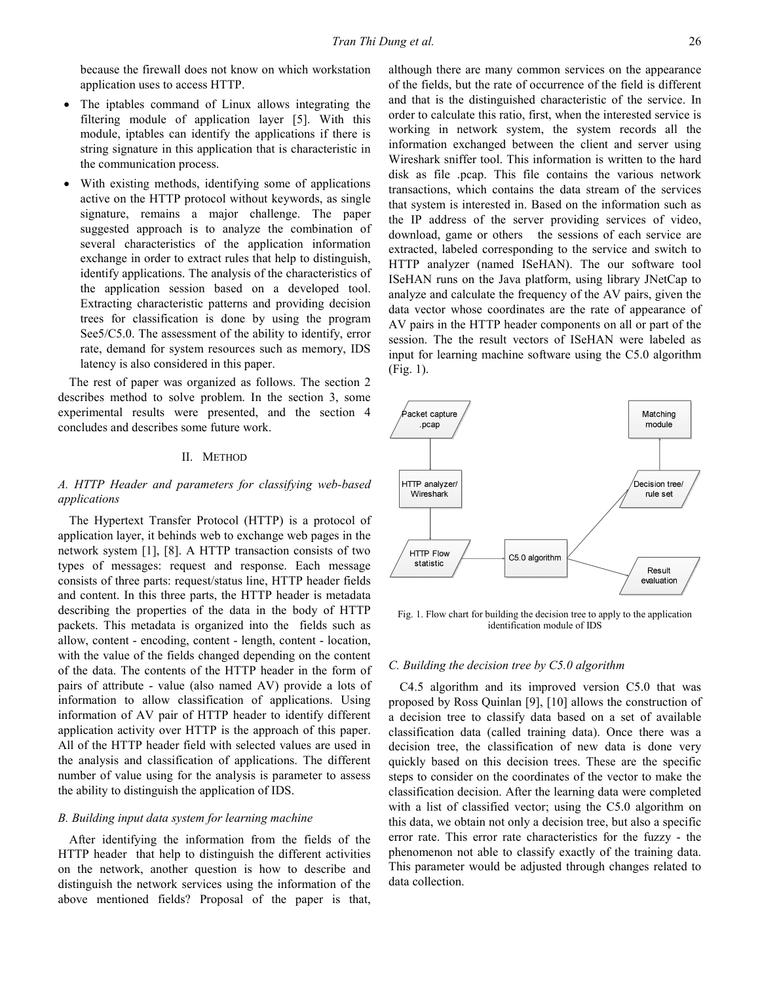because the firewall does not know on which workstation application uses to access HTTP.

- The iptables command of Linux allows integrating the filtering module of application layer [5]. With this module, iptables can identify the applications if there is string signature in this application that is characteristic in the communication process.
- With existing methods, identifying some of applications active on the HTTP protocol without keywords, as single signature, remains a major challenge. The paper suggested approach is to analyze the combination of several characteristics of the application information exchange in order to extract rules that help to distinguish, identify applications. The analysis of the characteristics of the application session based on a developed tool. Extracting characteristic patterns and providing decision trees for classification is done by using the program See5/C5.0. The assessment of the ability to identify, error rate, demand for system resources such as memory, IDS latency is also considered in this paper.

The rest of paper was organized as follows. The section 2 describes method to solve problem. In the section 3, some experimental results were presented, and the section 4 concludes and describes some future work.

## II. METHOD

# A. HTTP Header and parameters for classifying web-based applications

The Hypertext Transfer Protocol (HTTP) is a protocol of application layer, it behinds web to exchange web pages in the network system [1], [8]. A HTTP transaction consists of two types of messages: request and response. Each message consists of three parts: request/status line, HTTP header fields and content. In this three parts, the HTTP header is metadata describing the properties of the data in the body of HTTP packets. This metadata is organized into the fields such as allow, content - encoding, content - length, content - location, with the value of the fields changed depending on the content of the data. The contents of the HTTP header in the form of pairs of attribute - value (also named AV) provide a lots of information to allow classification of applications. Using information of AV pair of HTTP header to identify different application activity over HTTP is the approach of this paper. All of the HTTP header field with selected values are used in the analysis and classification of applications. The different number of value using for the analysis is parameter to assess the ability to distinguish the application of IDS.

## B. Building input data system for learning machine

After identifying the information from the fields of the HTTP header that help to distinguish the different activities on the network, another question is how to describe and distinguish the network services using the information of the above mentioned fields? Proposal of the paper is that,

although there are many common services on the appearance of the fields, but the rate of occurrence of the field is different and that is the distinguished characteristic of the service. In order to calculate this ratio, first, when the interested service is working in network system, the system records all the information exchanged between the client and server using Wireshark sniffer tool. This information is written to the hard disk as file .pcap. This file contains the various network transactions, which contains the data stream of the services that system is interested in. Based on the information such as the IP address of the server providing services of video, download, game or others the sessions of each service are extracted, labeled corresponding to the service and switch to HTTP analyzer (named ISeHAN). The our software tool ISeHAN runs on the Java platform, using library JNetCap to analyze and calculate the frequency of the AV pairs, given the data vector whose coordinates are the rate of appearance of AV pairs in the HTTP header components on all or part of the session. The the result vectors of ISeHAN were labeled as input for learning machine software using the C5.0 algorithm (Fig. 1).



Fig. 1. Flow chart for building the decision tree to apply to the application identification module of IDS

## C. Building the decision tree by C5.0 algorithm

C4.5 algorithm and its improved version C5.0 that was proposed by Ross Quinlan [9], [10] allows the construction of a decision tree to classify data based on a set of available classification data (called training data). Once there was a decision tree, the classification of new data is done very quickly based on this decision trees. These are the specific steps to consider on the coordinates of the vector to make the classification decision. After the learning data were completed with a list of classified vector; using the C5.0 algorithm on this data, we obtain not only a decision tree, but also a specific error rate. This error rate characteristics for the fuzzy - the phenomenon not able to classify exactly of the training data. This parameter would be adjusted through changes related to data collection.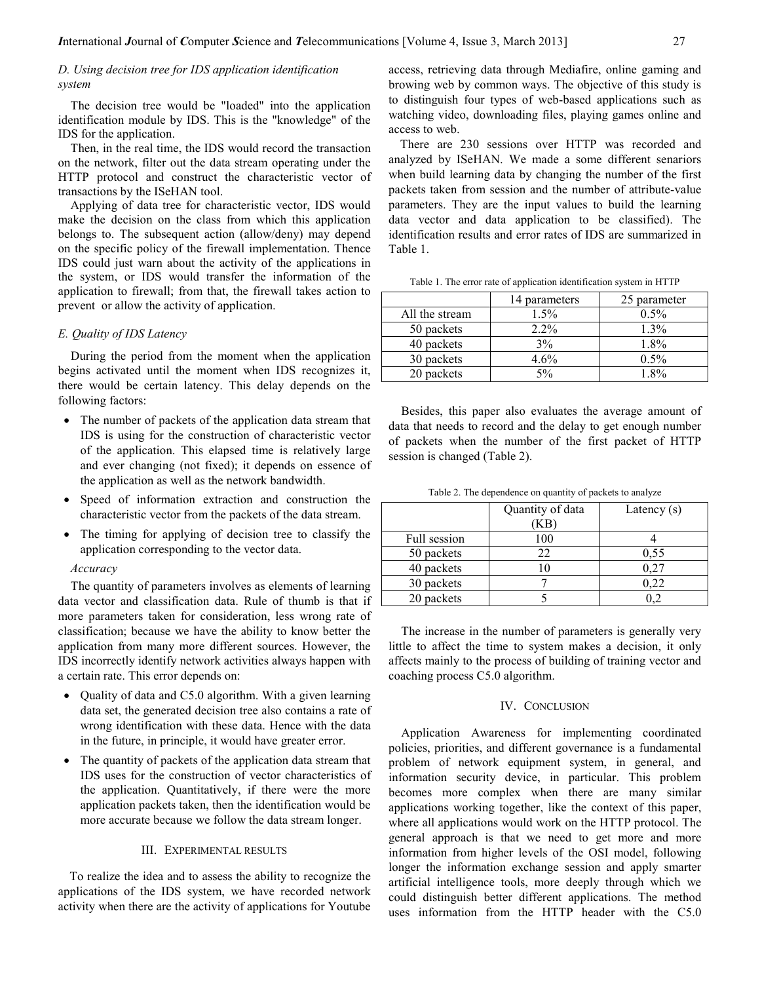# D. Using decision tree for IDS application identification system

The decision tree would be "loaded" into the application identification module by IDS. This is the "knowledge" of the IDS for the application.

Then, in the real time, the IDS would record the transaction on the network, filter out the data stream operating under the HTTP protocol and construct the characteristic vector of transactions by the ISeHAN tool.

Applying of data tree for characteristic vector, IDS would make the decision on the class from which this application belongs to. The subsequent action (allow/deny) may depend on the specific policy of the firewall implementation. Thence IDS could just warn about the activity of the applications in the system, or IDS would transfer the information of the application to firewall; from that, the firewall takes action to prevent or allow the activity of application.

## E. Quality of IDS Latency

During the period from the moment when the application begins activated until the moment when IDS recognizes it, there would be certain latency. This delay depends on the following factors:

- The number of packets of the application data stream that IDS is using for the construction of characteristic vector of the application. This elapsed time is relatively large and ever changing (not fixed); it depends on essence of the application as well as the network bandwidth.
- Speed of information extraction and construction the characteristic vector from the packets of the data stream.
- The timing for applying of decision tree to classify the application corresponding to the vector data.

#### Accuracy

The quantity of parameters involves as elements of learning data vector and classification data. Rule of thumb is that if more parameters taken for consideration, less wrong rate of classification; because we have the ability to know better the application from many more different sources. However, the IDS incorrectly identify network activities always happen with a certain rate. This error depends on:

- Quality of data and C5.0 algorithm. With a given learning data set, the generated decision tree also contains a rate of wrong identification with these data. Hence with the data in the future, in principle, it would have greater error.
- The quantity of packets of the application data stream that IDS uses for the construction of vector characteristics of the application. Quantitatively, if there were the more application packets taken, then the identification would be more accurate because we follow the data stream longer.

## III. EXPERIMENTAL RESULTS

To realize the idea and to assess the ability to recognize the applications of the IDS system, we have recorded network activity when there are the activity of applications for Youtube access, retrieving data through Mediafire, online gaming and browing web by common ways. The objective of this study is to distinguish four types of web-based applications such as watching video, downloading files, playing games online and access to web.

There are 230 sessions over HTTP was recorded and analyzed by ISeHAN. We made a some different senariors when build learning data by changing the number of the first packets taken from session and the number of attribute-value parameters. They are the input values to build the learning data vector and data application to be classified). The identification results and error rates of IDS are summarized in Table 1.

|  |  | Table 1. The error rate of application identification system in HTTP |  |
|--|--|----------------------------------------------------------------------|--|
|  |  |                                                                      |  |

|                | 14 parameters | 25 parameter |
|----------------|---------------|--------------|
| All the stream | 1.5%          | $0.5\%$      |
| 50 packets     | $2.2\%$       | 1.3%         |
| 40 packets     | 3%            | 1.8%         |
| 30 packets     | $4.6\%$       | $0.5\%$      |
| 20 packets     | 5%            | 18%          |

Besides, this paper also evaluates the average amount of data that needs to record and the delay to get enough number of packets when the number of the first packet of HTTP session is changed (Table 2).

Table 2. The dependence on quantity of packets to analyze

|              | Quantity of data | Latency $(s)$ |
|--------------|------------------|---------------|
|              | ΚB)              |               |
| Full session | 100              |               |
| 50 packets   | 22               | 0,55          |
| 40 packets   |                  | 0,27          |
| 30 packets   |                  | 0.22          |
| 20 packets   |                  |               |

The increase in the number of parameters is generally very little to affect the time to system makes a decision, it only affects mainly to the process of building of training vector and coaching process C5.0 algorithm.

#### IV. CONCLUSION

Application Awareness for implementing coordinated policies, priorities, and different governance is a fundamental problem of network equipment system, in general, and information security device, in particular. This problem becomes more complex when there are many similar applications working together, like the context of this paper, where all applications would work on the HTTP protocol. The general approach is that we need to get more and more information from higher levels of the OSI model, following longer the information exchange session and apply smarter artificial intelligence tools, more deeply through which we could distinguish better different applications. The method uses information from the HTTP header with the C5.0